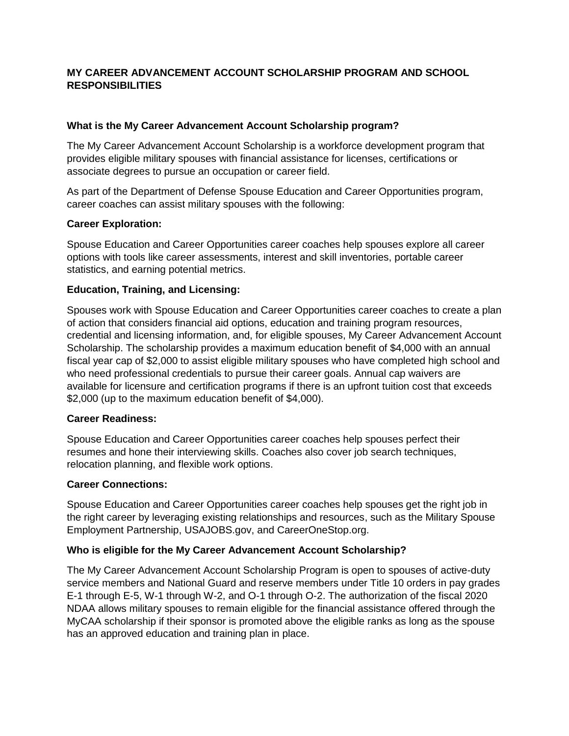# **MY CAREER ADVANCEMENT ACCOUNT SCHOLARSHIP PROGRAM AND SCHOOL RESPONSIBILITIES**

### **What is the My Career Advancement Account Scholarship program?**

The My Career Advancement Account Scholarship is a workforce development program that provides eligible military spouses with financial assistance for licenses, certifications or associate degrees to pursue an occupation or career field.

As part of the Department of Defense Spouse Education and Career Opportunities program, career coaches can assist military spouses with the following:

## **Career Exploration:**

Spouse Education and Career Opportunities career coaches help spouses explore all career options with tools like career assessments, interest and skill inventories, portable career statistics, and earning potential metrics.

## **Education, Training, and Licensing:**

Spouses work with Spouse Education and Career Opportunities career coaches to create a plan of action that considers financial aid options, education and training program resources, credential and licensing information, and, for eligible spouses, My Career Advancement Account Scholarship. The scholarship provides a maximum education benefit of \$4,000 with an annual fiscal year cap of \$2,000 to assist eligible military spouses who have completed high school and who need professional credentials to pursue their career goals. Annual cap waivers are available for licensure and certification programs if there is an upfront tuition cost that exceeds \$2,000 (up to the maximum education benefit of \$4,000).

### **Career Readiness:**

Spouse Education and Career Opportunities career coaches help spouses perfect their resumes and hone their interviewing skills. Coaches also cover job search techniques, relocation planning, and flexible work options.

### **Career Connections:**

Spouse Education and Career Opportunities career coaches help spouses get the right job in the right career by leveraging existing relationships and resources, such as the Military Spouse Employment Partnership, USAJOBS.gov, and CareerOneStop.org.

### **Who is eligible for the My Career Advancement Account Scholarship?**

The My Career Advancement Account Scholarship Program is open to spouses of active-duty service members and National Guard and reserve members under Title 10 orders in pay grades E-1 through E-5, W-1 through W-2, and O-1 through O-2. The authorization of the fiscal 2020 NDAA allows military spouses to remain eligible for the financial assistance offered through the MyCAA scholarship if their sponsor is promoted above the eligible ranks as long as the spouse has an approved education and training plan in place.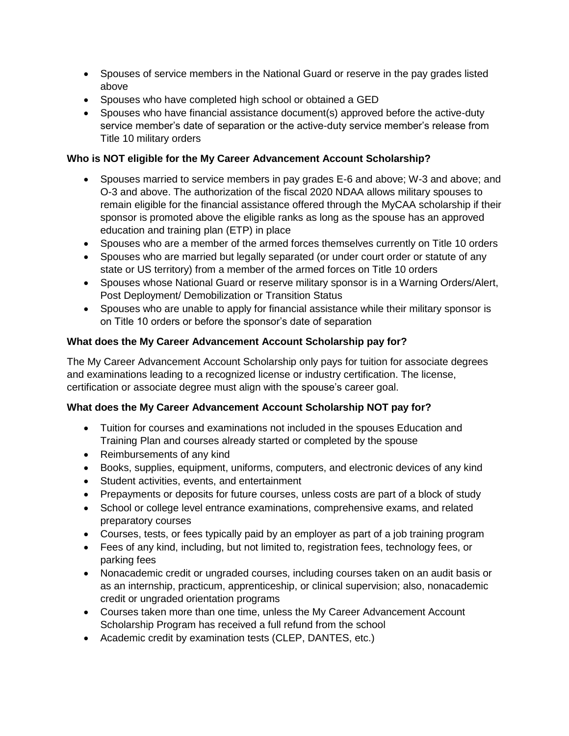- Spouses of service members in the National Guard or reserve in the pay grades listed above
- Spouses who have completed high school or obtained a GED
- Spouses who have financial assistance document(s) approved before the active-duty service member's date of separation or the active-duty service member's release from Title 10 military orders

# **Who is NOT eligible for the My Career Advancement Account Scholarship?**

- Spouses married to service members in pay grades E-6 and above; W-3 and above; and O-3 and above. The authorization of the fiscal 2020 NDAA allows military spouses to remain eligible for the financial assistance offered through the MyCAA scholarship if their sponsor is promoted above the eligible ranks as long as the spouse has an approved education and training plan (ETP) in place
- Spouses who are a member of the armed forces themselves currently on Title 10 orders
- Spouses who are married but legally separated (or under court order or statute of any state or US territory) from a member of the armed forces on Title 10 orders
- Spouses whose National Guard or reserve military sponsor is in a Warning Orders/Alert, Post Deployment/ Demobilization or Transition Status
- Spouses who are unable to apply for financial assistance while their military sponsor is on Title 10 orders or before the sponsor's date of separation

# **What does the My Career Advancement Account Scholarship pay for?**

The My Career Advancement Account Scholarship only pays for tuition for associate degrees and examinations leading to a recognized license or industry certification. The license, certification or associate degree must align with the spouse's career goal.

# **What does the My Career Advancement Account Scholarship NOT pay for?**

- Tuition for courses and examinations not included in the spouses Education and Training Plan and courses already started or completed by the spouse
- Reimbursements of any kind
- Books, supplies, equipment, uniforms, computers, and electronic devices of any kind
- Student activities, events, and entertainment
- Prepayments or deposits for future courses, unless costs are part of a block of study
- School or college level entrance examinations, comprehensive exams, and related preparatory courses
- Courses, tests, or fees typically paid by an employer as part of a job training program
- Fees of any kind, including, but not limited to, registration fees, technology fees, or parking fees
- Nonacademic credit or ungraded courses, including courses taken on an audit basis or as an internship, practicum, apprenticeship, or clinical supervision; also, nonacademic credit or ungraded orientation programs
- Courses taken more than one time, unless the My Career Advancement Account Scholarship Program has received a full refund from the school
- Academic credit by examination tests (CLEP, DANTES, etc.)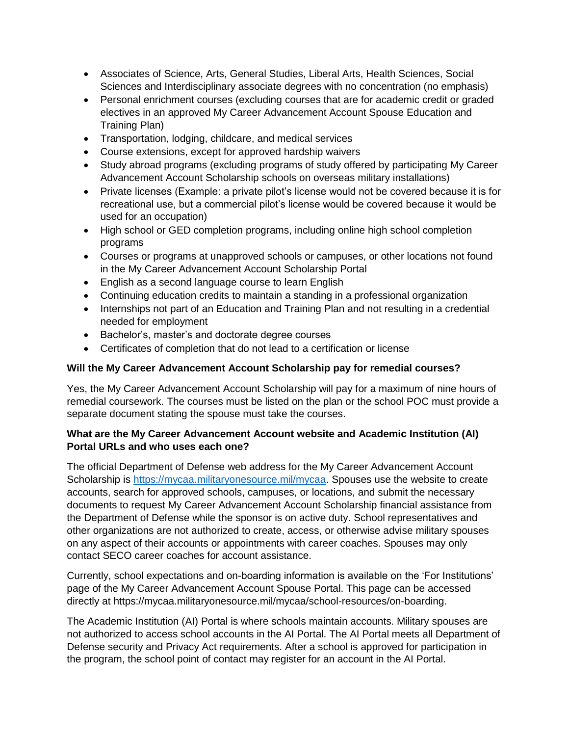- Associates of Science, Arts, General Studies, Liberal Arts, Health Sciences, Social Sciences and Interdisciplinary associate degrees with no concentration (no emphasis)
- Personal enrichment courses (excluding courses that are for academic credit or graded electives in an approved My Career Advancement Account Spouse Education and Training Plan)
- Transportation, lodging, childcare, and medical services
- Course extensions, except for approved hardship waivers
- Study abroad programs (excluding programs of study offered by participating My Career Advancement Account Scholarship schools on overseas military installations)
- Private licenses (Example: a private pilot's license would not be covered because it is for recreational use, but a commercial pilot's license would be covered because it would be used for an occupation)
- High school or GED completion programs, including online high school completion programs
- Courses or programs at unapproved schools or campuses, or other locations not found in the My Career Advancement Account Scholarship Portal
- English as a second language course to learn English
- Continuing education credits to maintain a standing in a professional organization
- Internships not part of an Education and Training Plan and not resulting in a credential needed for employment
- Bachelor's, master's and doctorate degree courses
- Certificates of completion that do not lead to a certification or license

### **Will the My Career Advancement Account Scholarship pay for remedial courses?**

Yes, the My Career Advancement Account Scholarship will pay for a maximum of nine hours of remedial coursework. The courses must be listed on the plan or the school POC must provide a separate document stating the spouse must take the courses.

## **What are the My Career Advancement Account website and Academic Institution (AI) Portal URLs and who uses each one?**

The official Department of Defense web address for the My Career Advancement Account Scholarship is [https://mycaa.militaryonesource.mil/mycaa.](https://mycaa.militaryonesource.mil/mycaa) Spouses use the website to create accounts, search for approved schools, campuses, or locations, and submit the necessary documents to request My Career Advancement Account Scholarship financial assistance from the Department of Defense while the sponsor is on active duty. School representatives and other organizations are not authorized to create, access, or otherwise advise military spouses on any aspect of their accounts or appointments with career coaches. Spouses may only contact SECO career coaches for account assistance.

Currently, school expectations and on-boarding information is available on the 'For Institutions' page of the My Career Advancement Account Spouse Portal. This page can be accessed directly at https://mycaa.militaryonesource.mil/mycaa/school-resources/on-boarding.

The Academic Institution (AI) Portal is where schools maintain accounts. Military spouses are not authorized to access school accounts in the AI Portal. The AI Portal meets all Department of Defense security and Privacy Act requirements. After a school is approved for participation in the program, the school point of contact may register for an account in the AI Portal.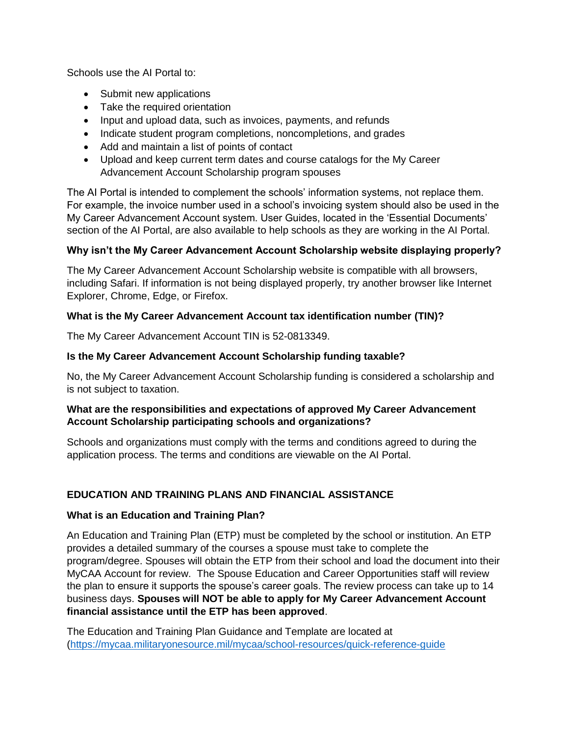Schools use the AI Portal to:

- Submit new applications
- Take the required orientation
- Input and upload data, such as invoices, payments, and refunds
- Indicate student program completions, noncompletions, and grades
- Add and maintain a list of points of contact
- Upload and keep current term dates and course catalogs for the My Career Advancement Account Scholarship program spouses

The AI Portal is intended to complement the schools' information systems, not replace them. For example, the invoice number used in a school's invoicing system should also be used in the My Career Advancement Account system. User Guides, located in the 'Essential Documents' section of the AI Portal, are also available to help schools as they are working in the AI Portal.

### **Why isn't the My Career Advancement Account Scholarship website displaying properly?**

The My Career Advancement Account Scholarship website is compatible with all browsers, including Safari. If information is not being displayed properly, try another browser like Internet Explorer, Chrome, Edge, or Firefox.

### **What is the My Career Advancement Account tax identification number (TIN)?**

The My Career Advancement Account TIN is 52-0813349.

### **Is the My Career Advancement Account Scholarship funding taxable?**

No, the My Career Advancement Account Scholarship funding is considered a scholarship and is not subject to taxation.

## **What are the responsibilities and expectations of approved My Career Advancement Account Scholarship participating schools and organizations?**

Schools and organizations must comply with the terms and conditions agreed to during the application process. The terms and conditions are viewable on the AI Portal.

# **EDUCATION AND TRAINING PLANS AND FINANCIAL ASSISTANCE**

### **What is an Education and Training Plan?**

An Education and Training Plan (ETP) must be completed by the school or institution. An ETP provides a detailed summary of the courses a spouse must take to complete the program/degree. Spouses will obtain the ETP from their school and load the document into their MyCAA Account for review. The Spouse Education and Career Opportunities staff will review the plan to ensure it supports the spouse's career goals. The review process can take up to 14 business days. **Spouses will NOT be able to apply for My Career Advancement Account financial assistance until the ETP has been approved**.

The Education and Training Plan Guidance and Template are located at [\(https://mycaa.militaryonesource.mil/mycaa/school-resources/quick-reference-guide](https://mycaa.militaryonesource.mil/mycaa/school-resources/quick-reference-guide)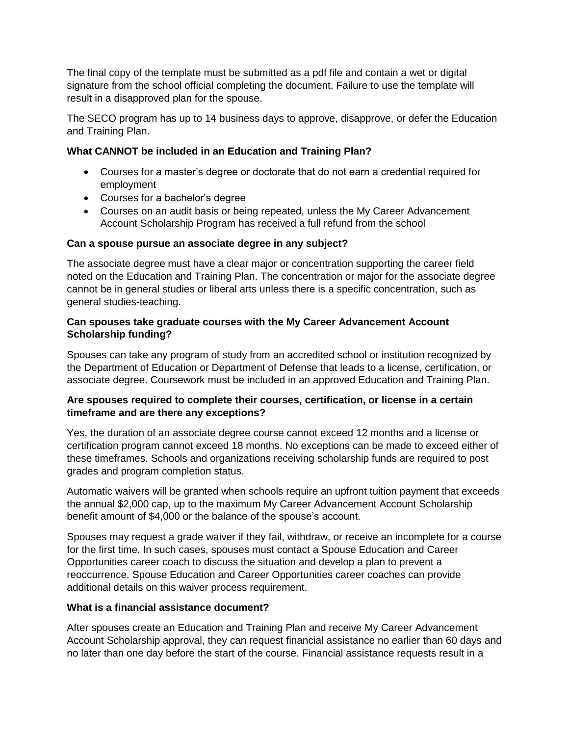The final copy of the template must be submitted as a pdf file and contain a wet or digital signature from the school official completing the document. Failure to use the template will result in a disapproved plan for the spouse.

The SECO program has up to 14 business days to approve, disapprove, or defer the Education and Training Plan.

# **What CANNOT be included in an Education and Training Plan?**

- Courses for a master's degree or doctorate that do not earn a credential required for employment
- Courses for a bachelor's degree
- Courses on an audit basis or being repeated, unless the My Career Advancement Account Scholarship Program has received a full refund from the school

## **Can a spouse pursue an associate degree in any subject?**

The associate degree must have a clear major or concentration supporting the career field noted on the Education and Training Plan. The concentration or major for the associate degree cannot be in general studies or liberal arts unless there is a specific concentration, such as general studies-teaching.

### **Can spouses take graduate courses with the My Career Advancement Account Scholarship funding?**

Spouses can take any program of study from an accredited school or institution recognized by the Department of Education or Department of Defense that leads to a license, certification, or associate degree. Coursework must be included in an approved Education and Training Plan.

## **Are spouses required to complete their courses, certification, or license in a certain timeframe and are there any exceptions?**

Yes, the duration of an associate degree course cannot exceed 12 months and a license or certification program cannot exceed 18 months. No exceptions can be made to exceed either of these timeframes. Schools and organizations receiving scholarship funds are required to post grades and program completion status.

Automatic waivers will be granted when schools require an upfront tuition payment that exceeds the annual \$2,000 cap, up to the maximum My Career Advancement Account Scholarship benefit amount of \$4,000 or the balance of the spouse's account.

Spouses may request a grade waiver if they fail, withdraw, or receive an incomplete for a course for the first time. In such cases, spouses must contact a Spouse Education and Career Opportunities career coach to discuss the situation and develop a plan to prevent a reoccurrence. Spouse Education and Career Opportunities career coaches can provide additional details on this waiver process requirement.

### **What is a financial assistance document?**

After spouses create an Education and Training Plan and receive My Career Advancement Account Scholarship approval, they can request financial assistance no earlier than 60 days and no later than one day before the start of the course. Financial assistance requests result in a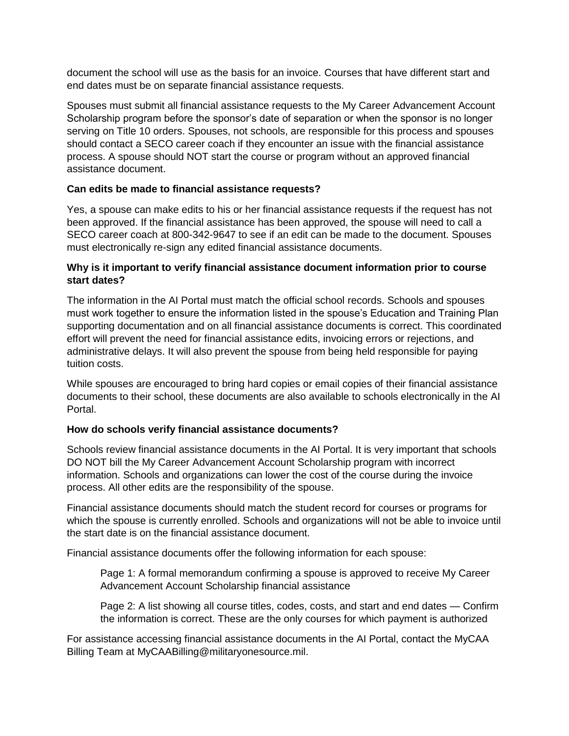document the school will use as the basis for an invoice. Courses that have different start and end dates must be on separate financial assistance requests.

Spouses must submit all financial assistance requests to the My Career Advancement Account Scholarship program before the sponsor's date of separation or when the sponsor is no longer serving on Title 10 orders. Spouses, not schools, are responsible for this process and spouses should contact a SECO career coach if they encounter an issue with the financial assistance process. A spouse should NOT start the course or program without an approved financial assistance document.

### **Can edits be made to financial assistance requests?**

Yes, a spouse can make edits to his or her financial assistance requests if the request has not been approved. If the financial assistance has been approved, the spouse will need to call a SECO career coach at 800-342-9647 to see if an edit can be made to the document. Spouses must electronically re-sign any edited financial assistance documents.

### **Why is it important to verify financial assistance document information prior to course start dates?**

The information in the AI Portal must match the official school records. Schools and spouses must work together to ensure the information listed in the spouse's Education and Training Plan supporting documentation and on all financial assistance documents is correct. This coordinated effort will prevent the need for financial assistance edits, invoicing errors or rejections, and administrative delays. It will also prevent the spouse from being held responsible for paying tuition costs.

While spouses are encouraged to bring hard copies or email copies of their financial assistance documents to their school, these documents are also available to schools electronically in the AI Portal.

### **How do schools verify financial assistance documents?**

Schools review financial assistance documents in the AI Portal. It is very important that schools DO NOT bill the My Career Advancement Account Scholarship program with incorrect information. Schools and organizations can lower the cost of the course during the invoice process. All other edits are the responsibility of the spouse.

Financial assistance documents should match the student record for courses or programs for which the spouse is currently enrolled. Schools and organizations will not be able to invoice until the start date is on the financial assistance document.

Financial assistance documents offer the following information for each spouse:

Page 1: A formal memorandum confirming a spouse is approved to receive My Career Advancement Account Scholarship financial assistance

Page 2: A list showing all course titles, codes, costs, and start and end dates — Confirm the information is correct. These are the only courses for which payment is authorized

For assistance accessing financial assistance documents in the AI Portal, contact the MyCAA Billing Team at MyCAABilling@militaryonesource.mil.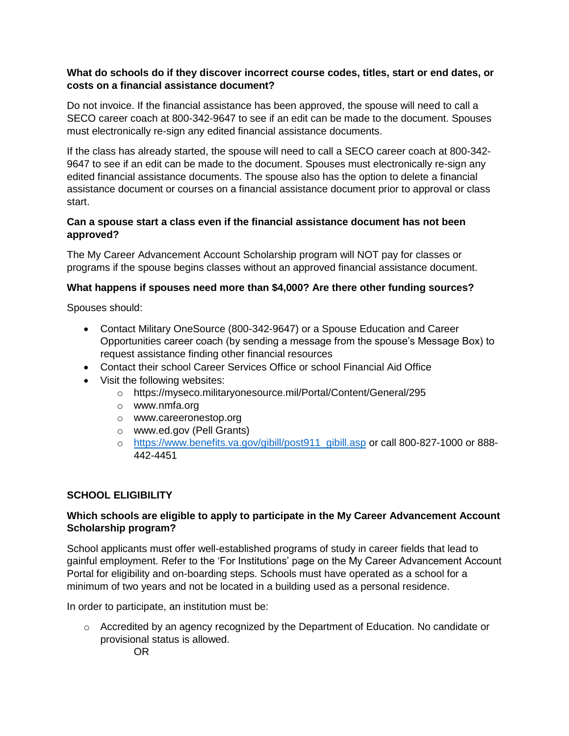### **What do schools do if they discover incorrect course codes, titles, start or end dates, or costs on a financial assistance document?**

Do not invoice. If the financial assistance has been approved, the spouse will need to call a SECO career coach at 800-342-9647 to see if an edit can be made to the document. Spouses must electronically re-sign any edited financial assistance documents.

If the class has already started, the spouse will need to call a SECO career coach at 800-342- 9647 to see if an edit can be made to the document. Spouses must electronically re-sign any edited financial assistance documents. The spouse also has the option to delete a financial assistance document or courses on a financial assistance document prior to approval or class start.

# **Can a spouse start a class even if the financial assistance document has not been approved?**

The My Career Advancement Account Scholarship program will NOT pay for classes or programs if the spouse begins classes without an approved financial assistance document.

# **What happens if spouses need more than \$4,000? Are there other funding sources?**

Spouses should:

- Contact Military OneSource (800-342-9647) or a Spouse Education and Career Opportunities career coach (by sending a message from the spouse's Message Box) to request assistance finding other financial resources
- Contact their school Career Services Office or school Financial Aid Office
- Visit the following websites:
	- o https://myseco.militaryonesource.mil/Portal/Content/General/295
	- o www.nmfa.org
	- o www.careeronestop.org
	- o www.ed.gov (Pell Grants)
	- o [https://www.benefits.va.gov/gibill/post911\\_gibill.asp](https://www.benefits.va.gov/gibill/post911_gibill.asp) or call 800-827-1000 or 888- 442-4451

# **SCHOOL ELIGIBILITY**

# **Which schools are eligible to apply to participate in the My Career Advancement Account Scholarship program?**

School applicants must offer well-established programs of study in career fields that lead to gainful employment. Refer to the 'For Institutions' page on the My Career Advancement Account Portal for eligibility and on-boarding steps. Schools must have operated as a school for a minimum of two years and not be located in a building used as a personal residence.

In order to participate, an institution must be:

o Accredited by an agency recognized by the Department of Education. No candidate or provisional status is allowed.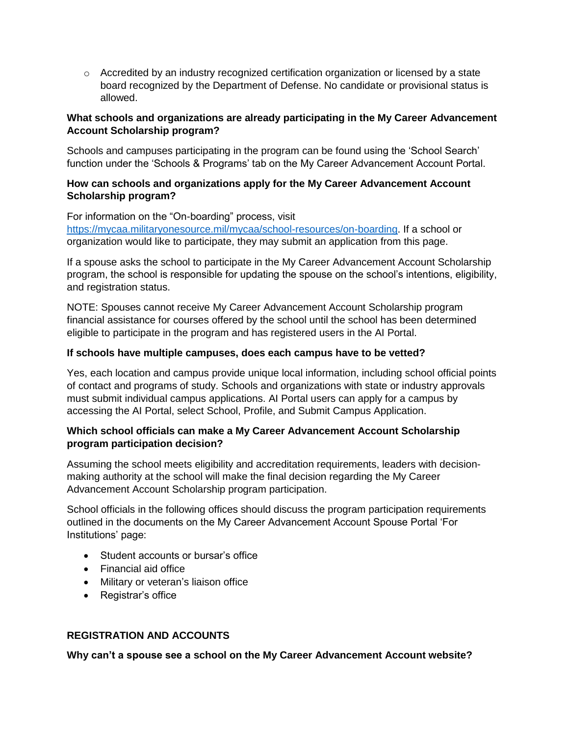$\circ$  Accredited by an industry recognized certification organization or licensed by a state board recognized by the Department of Defense. No candidate or provisional status is allowed.

### **What schools and organizations are already participating in the My Career Advancement Account Scholarship program?**

Schools and campuses participating in the program can be found using the 'School Search' function under the 'Schools & Programs' tab on the My Career Advancement Account Portal.

### **How can schools and organizations apply for the My Career Advancement Account Scholarship program?**

For information on the "On-boarding" process, visit [https://mycaa.militaryonesource.mil/mycaa/school-resources/on-boarding.](https://mycaa.militaryonesource.mil/mycaa/school-resources/on-boarding) If a school or organization would like to participate, they may submit an application from this page.

If a spouse asks the school to participate in the My Career Advancement Account Scholarship program, the school is responsible for updating the spouse on the school's intentions, eligibility, and registration status.

NOTE: Spouses cannot receive My Career Advancement Account Scholarship program financial assistance for courses offered by the school until the school has been determined eligible to participate in the program and has registered users in the AI Portal.

## **If schools have multiple campuses, does each campus have to be vetted?**

Yes, each location and campus provide unique local information, including school official points of contact and programs of study. Schools and organizations with state or industry approvals must submit individual campus applications. AI Portal users can apply for a campus by accessing the AI Portal, select School, Profile, and Submit Campus Application.

## **Which school officials can make a My Career Advancement Account Scholarship program participation decision?**

Assuming the school meets eligibility and accreditation requirements, leaders with decisionmaking authority at the school will make the final decision regarding the My Career Advancement Account Scholarship program participation.

School officials in the following offices should discuss the program participation requirements outlined in the documents on the My Career Advancement Account Spouse Portal 'For Institutions' page:

- Student accounts or bursar's office
- Financial aid office
- Military or veteran's liaison office
- Registrar's office

# **REGISTRATION AND ACCOUNTS**

**Why can't a spouse see a school on the My Career Advancement Account website?**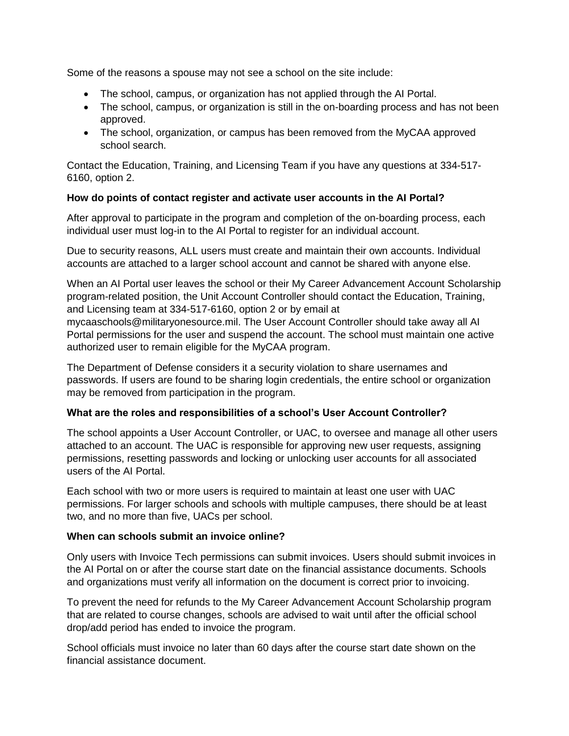Some of the reasons a spouse may not see a school on the site include:

- The school, campus, or organization has not applied through the AI Portal.
- The school, campus, or organization is still in the on-boarding process and has not been approved.
- The school, organization, or campus has been removed from the MyCAA approved school search.

Contact the Education, Training, and Licensing Team if you have any questions at 334-517- 6160, option 2.

### **How do points of contact register and activate user accounts in the AI Portal?**

After approval to participate in the program and completion of the on-boarding process, each individual user must log-in to the AI Portal to register for an individual account.

Due to security reasons, ALL users must create and maintain their own accounts. Individual accounts are attached to a larger school account and cannot be shared with anyone else.

When an AI Portal user leaves the school or their My Career Advancement Account Scholarship program-related position, the Unit Account Controller should contact the Education, Training, and Licensing team at 334-517-6160, option 2 or by email at

mycaaschools@militaryonesource.mil. The User Account Controller should take away all AI Portal permissions for the user and suspend the account. The school must maintain one active authorized user to remain eligible for the MyCAA program.

The Department of Defense considers it a security violation to share usernames and passwords. If users are found to be sharing login credentials, the entire school or organization may be removed from participation in the program.

# **What are the roles and responsibilities of a school's User Account Controller?**

The school appoints a User Account Controller, or UAC, to oversee and manage all other users attached to an account. The UAC is responsible for approving new user requests, assigning permissions, resetting passwords and locking or unlocking user accounts for all associated users of the AI Portal.

Each school with two or more users is required to maintain at least one user with UAC permissions. For larger schools and schools with multiple campuses, there should be at least two, and no more than five, UACs per school.

### **When can schools submit an invoice online?**

Only users with Invoice Tech permissions can submit invoices. Users should submit invoices in the AI Portal on or after the course start date on the financial assistance documents. Schools and organizations must verify all information on the document is correct prior to invoicing.

To prevent the need for refunds to the My Career Advancement Account Scholarship program that are related to course changes, schools are advised to wait until after the official school drop/add period has ended to invoice the program.

School officials must invoice no later than 60 days after the course start date shown on the financial assistance document.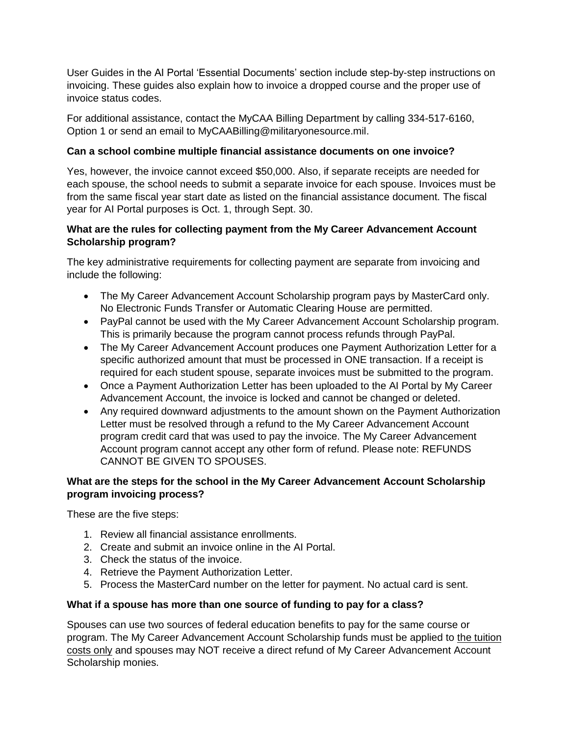User Guides in the AI Portal 'Essential Documents' section include step-by-step instructions on invoicing. These guides also explain how to invoice a dropped course and the proper use of invoice status codes.

For additional assistance, contact the MyCAA Billing Department by calling 334-517-6160, Option 1 or send an email to MyCAABilling@militaryonesource.mil.

# **Can a school combine multiple financial assistance documents on one invoice?**

Yes, however, the invoice cannot exceed \$50,000. Also, if separate receipts are needed for each spouse, the school needs to submit a separate invoice for each spouse. Invoices must be from the same fiscal year start date as listed on the financial assistance document. The fiscal year for AI Portal purposes is Oct. 1, through Sept. 30.

## **What are the rules for collecting payment from the My Career Advancement Account Scholarship program?**

The key administrative requirements for collecting payment are separate from invoicing and include the following:

- The My Career Advancement Account Scholarship program pays by MasterCard only. No Electronic Funds Transfer or Automatic Clearing House are permitted.
- PayPal cannot be used with the My Career Advancement Account Scholarship program. This is primarily because the program cannot process refunds through PayPal.
- The My Career Advancement Account produces one Payment Authorization Letter for a specific authorized amount that must be processed in ONE transaction. If a receipt is required for each student spouse, separate invoices must be submitted to the program.
- Once a Payment Authorization Letter has been uploaded to the AI Portal by My Career Advancement Account, the invoice is locked and cannot be changed or deleted.
- Any required downward adjustments to the amount shown on the Payment Authorization Letter must be resolved through a refund to the My Career Advancement Account program credit card that was used to pay the invoice. The My Career Advancement Account program cannot accept any other form of refund. Please note: REFUNDS CANNOT BE GIVEN TO SPOUSES.

## **What are the steps for the school in the My Career Advancement Account Scholarship program invoicing process?**

These are the five steps:

- 1. Review all financial assistance enrollments.
- 2. Create and submit an invoice online in the AI Portal.
- 3. Check the status of the invoice.
- 4. Retrieve the Payment Authorization Letter.
- 5. Process the MasterCard number on the letter for payment. No actual card is sent.

### **What if a spouse has more than one source of funding to pay for a class?**

Spouses can use two sources of federal education benefits to pay for the same course or program. The My Career Advancement Account Scholarship funds must be applied to the tuition costs only and spouses may NOT receive a direct refund of My Career Advancement Account Scholarship monies.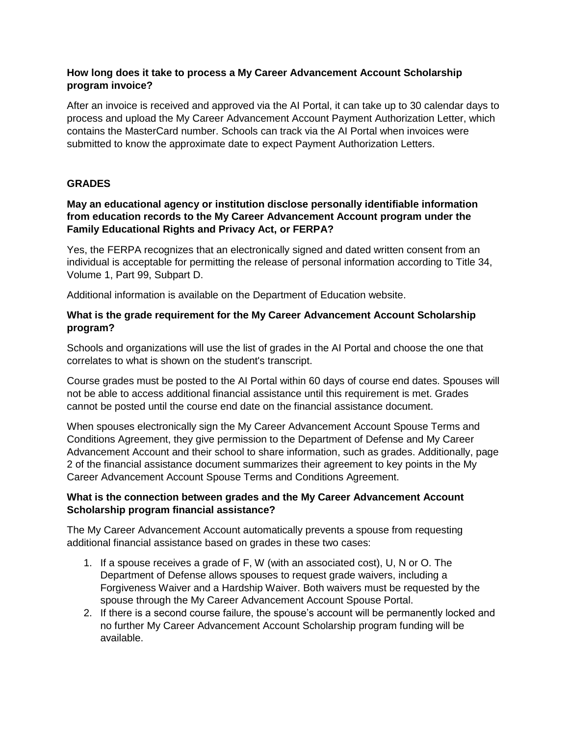### **How long does it take to process a My Career Advancement Account Scholarship program invoice?**

After an invoice is received and approved via the AI Portal, it can take up to 30 calendar days to process and upload the My Career Advancement Account Payment Authorization Letter, which contains the MasterCard number. Schools can track via the AI Portal when invoices were submitted to know the approximate date to expect Payment Authorization Letters.

## **GRADES**

### **May an educational agency or institution disclose personally identifiable information from education records to the My Career Advancement Account program under the Family Educational Rights and Privacy Act, or FERPA?**

Yes, the FERPA recognizes that an electronically signed and dated written consent from an individual is acceptable for permitting the release of personal information according to Title 34, Volume 1, Part 99, Subpart D.

Additional information is available on the Department of Education website.

### **What is the grade requirement for the My Career Advancement Account Scholarship program?**

Schools and organizations will use the list of grades in the AI Portal and choose the one that correlates to what is shown on the student's transcript.

Course grades must be posted to the AI Portal within 60 days of course end dates. Spouses will not be able to access additional financial assistance until this requirement is met. Grades cannot be posted until the course end date on the financial assistance document.

When spouses electronically sign the My Career Advancement Account Spouse Terms and Conditions Agreement, they give permission to the Department of Defense and My Career Advancement Account and their school to share information, such as grades. Additionally, page 2 of the financial assistance document summarizes their agreement to key points in the My Career Advancement Account Spouse Terms and Conditions Agreement.

### **What is the connection between grades and the My Career Advancement Account Scholarship program financial assistance?**

The My Career Advancement Account automatically prevents a spouse from requesting additional financial assistance based on grades in these two cases:

- 1. If a spouse receives a grade of F, W (with an associated cost), U, N or O. The Department of Defense allows spouses to request grade waivers, including a Forgiveness Waiver and a Hardship Waiver. Both waivers must be requested by the spouse through the My Career Advancement Account Spouse Portal.
- 2. If there is a second course failure, the spouse's account will be permanently locked and no further My Career Advancement Account Scholarship program funding will be available.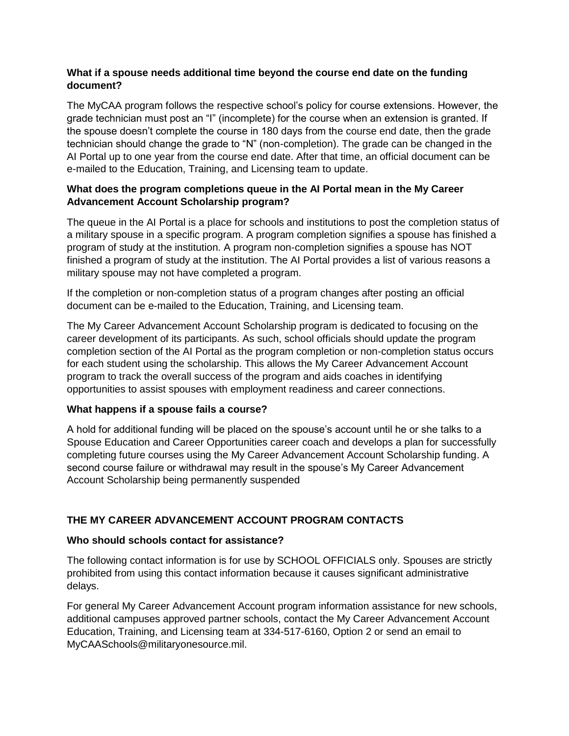### **What if a spouse needs additional time beyond the course end date on the funding document?**

The MyCAA program follows the respective school's policy for course extensions. However, the grade technician must post an "I" (incomplete) for the course when an extension is granted. If the spouse doesn't complete the course in 180 days from the course end date, then the grade technician should change the grade to "N" (non-completion). The grade can be changed in the AI Portal up to one year from the course end date. After that time, an official document can be e-mailed to the Education, Training, and Licensing team to update.

## **What does the program completions queue in the AI Portal mean in the My Career Advancement Account Scholarship program?**

The queue in the AI Portal is a place for schools and institutions to post the completion status of a military spouse in a specific program. A program completion signifies a spouse has finished a program of study at the institution. A program non-completion signifies a spouse has NOT finished a program of study at the institution. The AI Portal provides a list of various reasons a military spouse may not have completed a program.

If the completion or non-completion status of a program changes after posting an official document can be e-mailed to the Education, Training, and Licensing team.

The My Career Advancement Account Scholarship program is dedicated to focusing on the career development of its participants. As such, school officials should update the program completion section of the AI Portal as the program completion or non-completion status occurs for each student using the scholarship. This allows the My Career Advancement Account program to track the overall success of the program and aids coaches in identifying opportunities to assist spouses with employment readiness and career connections.

### **What happens if a spouse fails a course?**

A hold for additional funding will be placed on the spouse's account until he or she talks to a Spouse Education and Career Opportunities career coach and develops a plan for successfully completing future courses using the My Career Advancement Account Scholarship funding. A second course failure or withdrawal may result in the spouse's My Career Advancement Account Scholarship being permanently suspended

# **THE MY CAREER ADVANCEMENT ACCOUNT PROGRAM CONTACTS**

### **Who should schools contact for assistance?**

The following contact information is for use by SCHOOL OFFICIALS only. Spouses are strictly prohibited from using this contact information because it causes significant administrative delays.

For general My Career Advancement Account program information assistance for new schools, additional campuses approved partner schools, contact the My Career Advancement Account Education, Training, and Licensing team at 334-517-6160, Option 2 or send an email to MyCAASchools@militaryonesource.mil.